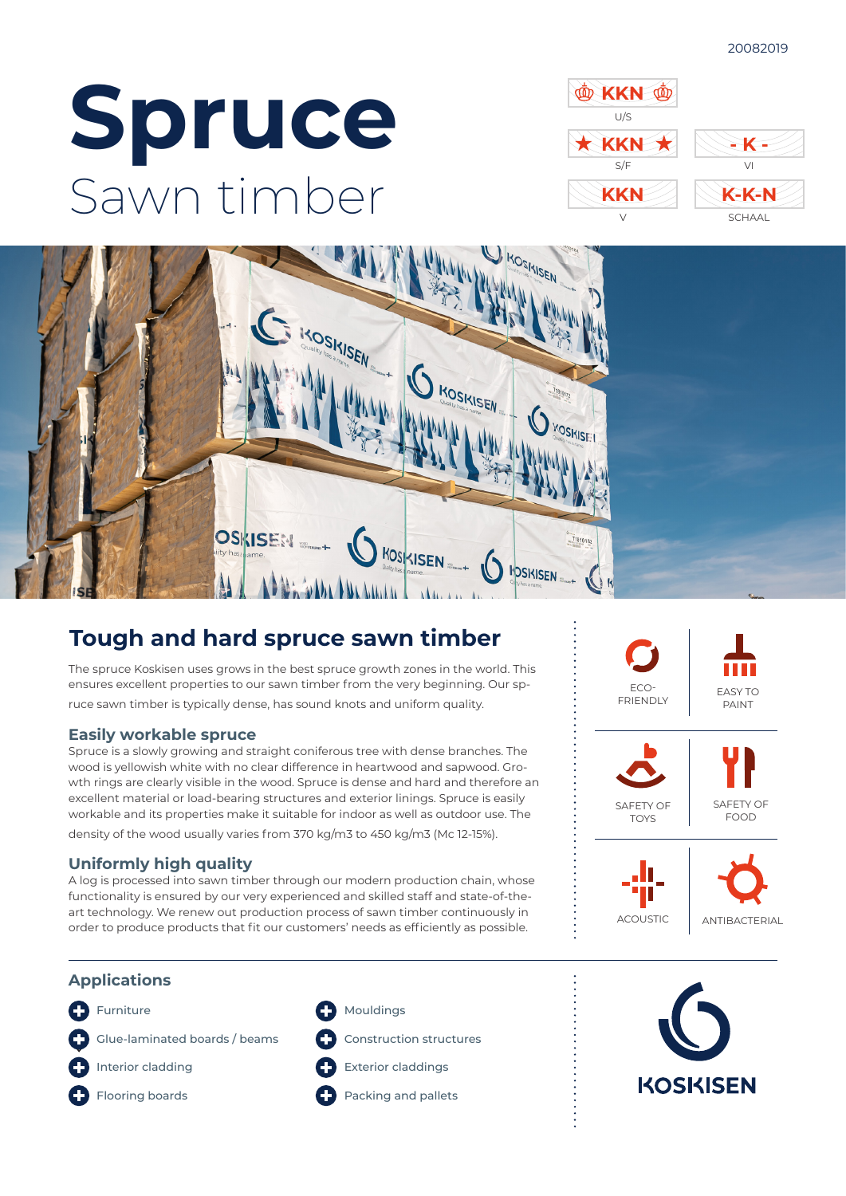# **Spruce** Sawn timber





# **Tough and hard spruce sawn timber**

The spruce Koskisen uses grows in the best spruce growth zones in the world. This ensures excellent properties to our sawn timber from the very beginning. Our spruce sawn timber is typically dense, has sound knots and uniform quality.

# **Easily workable spruce**

Spruce is a slowly growing and straight coniferous tree with dense branches. The wood is yellowish white with no clear difference in heartwood and sapwood. Growth rings are clearly visible in the wood. Spruce is dense and hard and therefore an excellent material or load-bearing structures and exterior linings. Spruce is easily workable and its properties make it suitable for indoor as well as outdoor use. The

density of the wood usually varies from 370 kg/m3 to 450 kg/m3 (Mc 12-15%).

# **Uniformly high quality**

A log is processed into sawn timber through our modern production chain, whose functionality is ensured by our very experienced and skilled staff and state-of-theart technology. We renew out production process of sawn timber continuously in order to produce products that fit our customers' needs as efficiently as possible.



# **Applications**

- **C** Furniture
- Glue-laminated boards / beams

Interior cladding O



- **C** Mouldings
	- Construction structures
- Exterior claddings

**Packing and pallets**